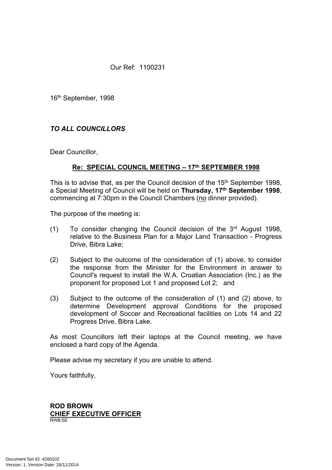Our Ref: 1100231

16th September, 1998

## *TO ALL COUNCILLORS*

Dear Councillor,

## **Re: SPECIAL COUNCIL MEETING – 17th SEPTEMBER 1998**

This is to advise that, as per the Council decision of the 15<sup>th</sup> September 1998, a Special Meeting of Council will be held on **Thursday, 17th September 1998**, commencing at 7:30pm in the Council Chambers (no dinner provided).

The purpose of the meeting is:

- (1) To consider changing the Council decision of the 3rd August 1998, relative to the Business Plan for a Major Land Transaction - Progress Drive, Bibra Lake;
- (2) Subject to the outcome of the consideration of (1) above, to consider the response from the Minister for the Environment in answer to Council's request to install the W.A. Croatian Association (Inc.) as the proponent for proposed Lot 1 and proposed Lot 2; and
- (3) Subject to the outcome of the consideration of (1) and (2) above, to determine Development approval Conditions for the proposed development of Soccer and Recreational facilities on Lots 14 and 22 Progress Drive, Bibra Lake.

As most Councillors left their laptops at the Council meeting, we have enclosed a hard copy of the Agenda.

Please advise my secretary if you are unable to attend.

Yours faithfully,

#### **ROD BROWN CHIEF EXECUTIVE OFFICER** RWB:SE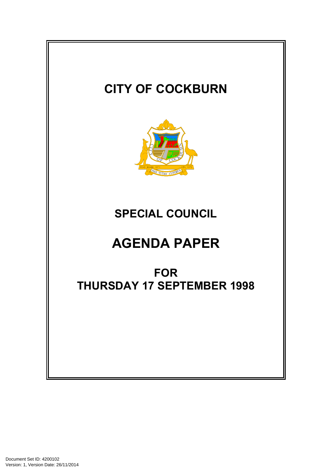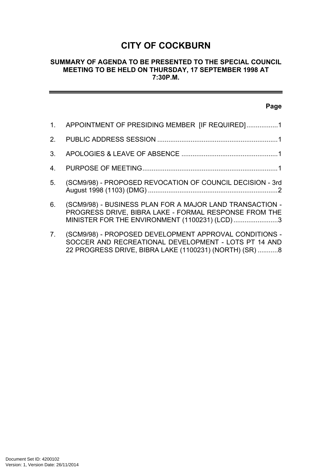# **CITY OF COCKBURN**

## **SUMMARY OF AGENDA TO BE PRESENTED TO THE SPECIAL COUNCIL MEETING TO BE HELD ON THURSDAY, 17 SEPTEMBER 1998 AT 7:30P.M.**

## **Page**

| $1_{-}$        | APPOINTMENT OF PRESIDING MEMBER [IF REQUIRED]1                                                                                                                           |
|----------------|--------------------------------------------------------------------------------------------------------------------------------------------------------------------------|
|                |                                                                                                                                                                          |
| 3              |                                                                                                                                                                          |
| 4              |                                                                                                                                                                          |
| 5.             | (SCM9/98) - PROPOSED REVOCATION OF COUNCIL DECISION - 3rd                                                                                                                |
| 6.             | (SCM9/98) - BUSINESS PLAN FOR A MAJOR LAND TRANSACTION -<br>PROGRESS DRIVE, BIBRA LAKE - FORMAL RESPONSE FROM THE<br>MINISTER FOR THE ENVIRONMENT (1100231) (LCD) 3      |
| 7 <sub>1</sub> | (SCM9/98) - PROPOSED DEVELOPMENT APPROVAL CONDITIONS -<br>SOCCER AND RECREATIONAL DEVELOPMENT - LOTS PT 14 AND<br>22 PROGRESS DRIVE, BIBRA LAKE (1100231) (NORTH) (SR) 8 |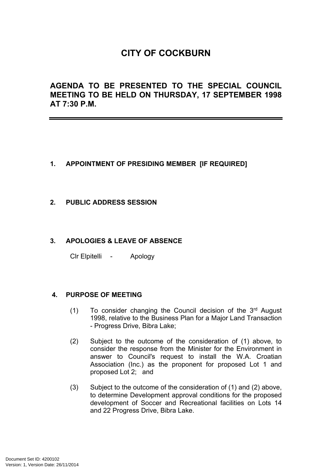# **CITY OF COCKBURN**

**AGENDA TO BE PRESENTED TO THE SPECIAL COUNCIL MEETING TO BE HELD ON THURSDAY, 17 SEPTEMBER 1998 AT 7:30 P.M.**

## <span id="page-3-0"></span>**1. APPOINTMENT OF PRESIDING MEMBER [IF REQUIRED]**

## <span id="page-3-1"></span>**2. PUBLIC ADDRESS SESSION**

## <span id="page-3-2"></span>**3. APOLOGIES & LEAVE OF ABSENCE**

Clr Elpitelli - Apology

## <span id="page-3-3"></span>**4. PURPOSE OF MEETING**

- (1) To consider changing the Council decision of the 3rd August 1998, relative to the Business Plan for a Major Land Transaction - Progress Drive, Bibra Lake;
- (2) Subject to the outcome of the consideration of (1) above, to consider the response from the Minister for the Environment in answer to Council's request to install the W.A. Croatian Association (Inc.) as the proponent for proposed Lot 1 and proposed Lot 2; and
- (3) Subject to the outcome of the consideration of (1) and (2) above, to determine Development approval conditions for the proposed development of Soccer and Recreational facilities on Lots 14 and 22 Progress Drive, Bibra Lake.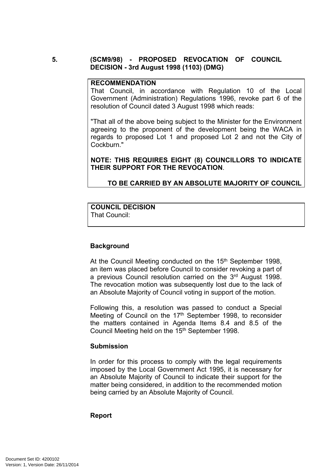## **5. (SCM9/98) - PROPOSED REVOCATION OF COUNCIL DECISION - 3rd August 1998 (1103) (DMG)**

#### <span id="page-4-0"></span>**RECOMMENDATION**

That Council, in accordance with Regulation 10 of the Local Government (Administration) Regulations 1996, revoke part 6 of the resolution of Council dated 3 August 1998 which reads:

"That all of the above being subject to the Minister for the Environment agreeing to the proponent of the development being the WACA in regards to proposed Lot 1 and proposed Lot 2 and not the City of Cockburn."

**NOTE: THIS REQUIRES EIGHT (8) COUNCILLORS TO INDICATE THEIR SUPPORT FOR THE REVOCATION**.

## **TO BE CARRIED BY AN ABSOLUTE MAJORITY OF COUNCIL**

#### **COUNCIL DECISION** That Council:

## **Background**

At the Council Meeting conducted on the 15<sup>th</sup> September 1998, an item was placed before Council to consider revoking a part of a previous Council resolution carried on the 3rd August 1998. The revocation motion was subsequently lost due to the lack of an Absolute Majority of Council voting in support of the motion.

Following this, a resolution was passed to conduct a Special Meeting of Council on the 17<sup>th</sup> September 1998, to reconsider the matters contained in Agenda Items 8.4 and 8.5 of the Council Meeting held on the 15<sup>th</sup> September 1998.

## **Submission**

In order for this process to comply with the legal requirements imposed by the Local Government Act 1995, it is necessary for an Absolute Majority of Council to indicate their support for the matter being considered, in addition to the recommended motion being carried by an Absolute Majority of Council.

## **Report**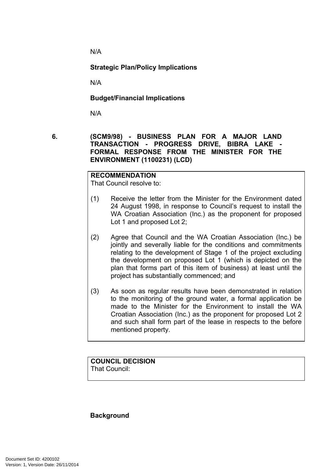N/A

**Strategic Plan/Policy Implications**

N/A

**Budget/Financial Implications**

<span id="page-5-0"></span>N/A

**6. (SCM9/98) - BUSINESS PLAN FOR A MAJOR LAND TRANSACTION - PROGRESS DRIVE, BIBRA LAKE - FORMAL RESPONSE FROM THE MINISTER FOR THE ENVIRONMENT (1100231) (LCD)**

## **RECOMMENDATION**

That Council resolve to:

- (1) Receive the letter from the Minister for the Environment dated 24 August 1998, in response to Council's request to install the WA Croatian Association (Inc.) as the proponent for proposed Lot 1 and proposed Lot 2;
- (2) Agree that Council and the WA Croatian Association (Inc.) be jointly and severally liable for the conditions and commitments relating to the development of Stage 1 of the project excluding the development on proposed Lot 1 (which is depicted on the plan that forms part of this item of business) at least until the project has substantially commenced; and
- (3) As soon as regular results have been demonstrated in relation to the monitoring of the ground water, a formal application be made to the Minister for the Environment to install the WA Croatian Association (Inc.) as the proponent for proposed Lot 2 and such shall form part of the lease in respects to the before mentioned property.

#### **COUNCIL DECISION** That Council:

## **Background**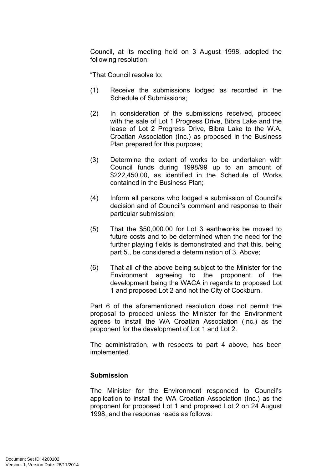Council, at its meeting held on 3 August 1998, adopted the following resolution:

"That Council resolve to:

- (1) Receive the submissions lodged as recorded in the Schedule of Submissions;
- (2) In consideration of the submissions received, proceed with the sale of Lot 1 Progress Drive, Bibra Lake and the lease of Lot 2 Progress Drive, Bibra Lake to the W.A. Croatian Association (Inc.) as proposed in the Business Plan prepared for this purpose;
- (3) Determine the extent of works to be undertaken with Council funds during 1998/99 up to an amount of \$222,450.00, as identified in the Schedule of Works contained in the Business Plan;
- (4) Inform all persons who lodged a submission of Council's decision and of Council's comment and response to their particular submission;
- (5) That the \$50,000.00 for Lot 3 earthworks be moved to future costs and to be determined when the need for the further playing fields is demonstrated and that this, being part 5., be considered a determination of 3. Above;
- (6) That all of the above being subject to the Minister for the Environment agreeing to the proponent of the development being the WACA in regards to proposed Lot 1 and proposed Lot 2 and not the City of Cockburn.

Part 6 of the aforementioned resolution does not permit the proposal to proceed unless the Minister for the Environment agrees to install the WA Croatian Association (Inc.) as the proponent for the development of Lot 1 and Lot 2.

The administration, with respects to part 4 above, has been implemented.

## **Submission**

The Minister for the Environment responded to Council's application to install the WA Croatian Association (Inc.) as the proponent for proposed Lot 1 and proposed Lot 2 on 24 August 1998, and the response reads as follows: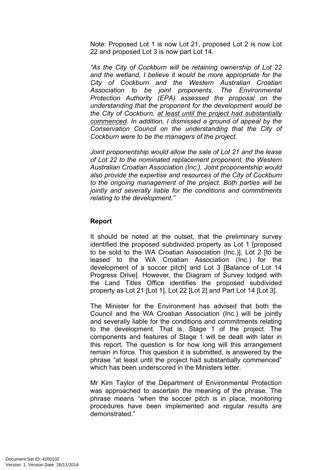Note: Proposed Lot 1 is now Lot 21, proposed Lot 2 is now Lot 22 and proposed Lot 3 is now part Lot 14.

*"As the City of Cockburn will be retaining ownership of Lot 22 and the wetland, I believe it would be more appropriate for the City of Cockburn and the Western Australian Croatian Association to be joint proponents. The Environmental Protection Authority (EPA) assessed the proposal on the understanding that the proponent for the development would be the City of Cockburn, at least until the project had substantially commenced. In addition, I dismissed a ground of appeal by the Conservation Council on the understanding that the City of Cockburn were to be the managers of the project.*

*Joint proponentship would allow the sale of Lot 21 and the lease of Lot 22 to the nominated replacement proponent, the Western Australian Croatian Association (Inc.). Joint proponentship would also provide the expertise and resources of the City of Cockburn to the ongoing management of the project. Both parties will be jointly and severally liable for the conditions and commitments relating to the development."*

## **Report**

It should be noted at the outset, that the preliminary survey identified the proposed subdivided property as Lot 1 [proposed to be sold to the WA Croatian Association (Inc.)], Lot 2 [to be leased to the WA Croatian Association (Inc.) for the development of a soccer pitch] and Lot 3 [Balance of Lot 14 Progress Drive]. However, the Diagram of Survey lodged with the Land Titles Office identifies the proposed subdivided property as Lot 21 [Lot 1], Lot 22 [Lot 2] and Part Lot 14 [Lot 3].

The Minister for the Environment has advised that both the Council and the WA Croatian Association (Inc.) will be jointly and severally liable for the conditions and commitments relating to the development. That is, Stage 1 of the project. The components and features of Stage 1 will be dealt with later in this report. The question is for how long will this arrangement remain in force. This question it is submitted, is answered by the phrase "at least until the project had substantially commenced" which has been underscored in the Ministers letter.

Mr Kim Taylor of the Department of Environmental Protection was approached to ascertain the meaning of the phrase. The phrase means "when the soccer pitch is in place, monitoring procedures have been implemented and regular results are demonstrated."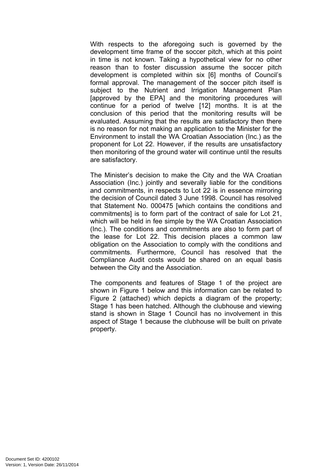With respects to the aforegoing such is governed by the development time frame of the soccer pitch, which at this point in time is not known. Taking a hypothetical view for no other reason than to foster discussion assume the soccer pitch development is completed within six [6] months of Council's formal approval. The management of the soccer pitch itself is subject to the Nutrient and Irrigation Management Plan [approved by the EPA] and the monitoring procedures will continue for a period of twelve [12] months. It is at the conclusion of this period that the monitoring results will be evaluated. Assuming that the results are satisfactory then there is no reason for not making an application to the Minister for the Environment to install the WA Croatian Association (Inc.) as the proponent for Lot 22. However, if the results are unsatisfactory then monitoring of the ground water will continue until the results are satisfactory.

The Minister's decision to make the City and the WA Croatian Association (Inc.) jointly and severally liable for the conditions and commitments, in respects to Lot 22 is in essence mirroring the decision of Council dated 3 June 1998. Council has resolved that Statement No. 000475 [which contains the conditions and commitments] is to form part of the contract of sale for Lot 21, which will be held in fee simple by the WA Croatian Association (Inc.). The conditions and commitments are also to form part of the lease for Lot 22. This decision places a common law obligation on the Association to comply with the conditions and commitments. Furthermore, Council has resolved that the Compliance Audit costs would be shared on an equal basis between the City and the Association.

The components and features of Stage 1 of the project are shown in Figure 1 below and this information can be related to Figure 2 (attached) which depicts a diagram of the property; Stage 1 has been hatched. Although the clubhouse and viewing stand is shown in Stage 1 Council has no involvement in this aspect of Stage 1 because the clubhouse will be built on private property.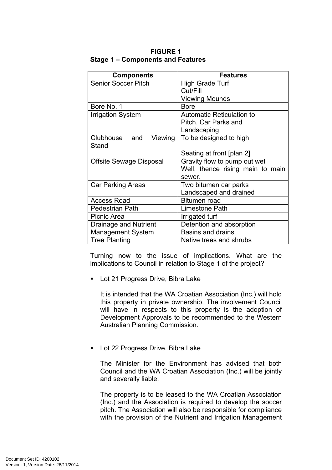| <b>Components</b>              | <b>Features</b>                  |
|--------------------------------|----------------------------------|
| <b>Senior Soccer Pitch</b>     | High Grade Turf                  |
|                                | Cut/Fill                         |
|                                | <b>Viewing Mounds</b>            |
| Bore No. 1                     | <b>Bore</b>                      |
| <b>Irrigation System</b>       | <b>Automatic Reticulation to</b> |
|                                | Pitch, Car Parks and             |
|                                | Landscaping                      |
| Clubhouse and<br>Viewing       | To be designed to high           |
| Stand                          |                                  |
|                                | Seating at front [plan 2]        |
| <b>Offsite Sewage Disposal</b> | Gravity flow to pump out wet     |
|                                | Well, thence rising main to main |
|                                | sewer.                           |
| <b>Car Parking Areas</b>       | Two bitumen car parks            |
|                                | Landscaped and drained           |
| <b>Access Road</b>             | Bitumen road                     |
| <b>Pedestrian Path</b>         | Limestone Path                   |
| Picnic Area                    | Irrigated turf                   |
| Drainage and Nutrient          | Detention and absorption         |
| <b>Management System</b>       | <b>Basins and drains</b>         |
| <b>Tree Planting</b>           | Native trees and shrubs          |

**FIGURE 1 Stage 1 – Components and Features**

Turning now to the issue of implications. What are the implications to Council in relation to Stage 1 of the project?

**Lot 21 Progress Drive, Bibra Lake** 

It is intended that the WA Croatian Association (Inc.) will hold this property in private ownership. The involvement Council will have in respects to this property is the adoption of Development Approvals to be recommended to the Western Australian Planning Commission.

**Lot 22 Progress Drive, Bibra Lake** 

The Minister for the Environment has advised that both Council and the WA Croatian Association (Inc.) will be jointly and severally liable.

The property is to be leased to the WA Croatian Association (Inc.) and the Association is required to develop the soccer pitch. The Association will also be responsible for compliance with the provision of the Nutrient and Irrigation Management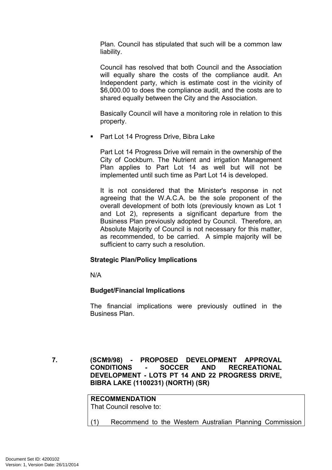Plan. Council has stipulated that such will be a common law liability.

Council has resolved that both Council and the Association will equally share the costs of the compliance audit. An Independent party, which is estimate cost in the vicinity of \$6,000.00 to does the compliance audit, and the costs are to shared equally between the City and the Association.

Basically Council will have a monitoring role in relation to this property.

**Part Lot 14 Progress Drive, Bibra Lake** 

Part Lot 14 Progress Drive will remain in the ownership of the City of Cockburn. The Nutrient and irrigation Management Plan applies to Part Lot 14 as well but will not be implemented until such time as Part Lot 14 is developed.

It is not considered that the Minister's response in not agreeing that the W.A.C.A. be the sole proponent of the overall development of both lots (previously known as Lot 1 and Lot 2), represents a significant departure from the Business Plan previously adopted by Council. Therefore, an Absolute Majority of Council is not necessary for this matter, as recommended, to be carried. A simple majority will be sufficient to carry such a resolution.

## **Strategic Plan/Policy Implications**

N/A

## **Budget/Financial Implications**

The financial implications were previously outlined in the Business Plan.

<span id="page-10-0"></span>**7. (SCM9/98) - PROPOSED DEVELOPMENT APPROVAL CONDITIONS - SOCCER AND RECREATIONAL DEVELOPMENT - LOTS PT 14 AND 22 PROGRESS DRIVE, BIBRA LAKE (1100231) (NORTH) (SR)**

# **RECOMMENDATION**

That Council resolve to:

(1) Recommend to the Western Australian Planning Commission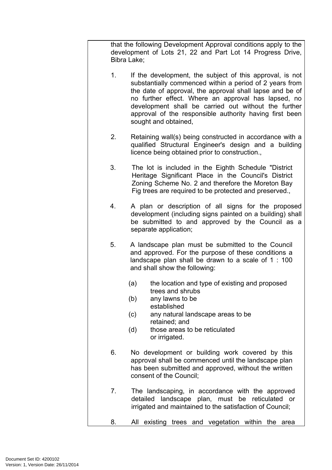that the following Development Approval conditions apply to the development of Lots 21, 22 and Part Lot 14 Progress Drive, Bibra Lake;

- 1. If the development, the subject of this approval, is not substantially commenced within a period of 2 years from the date of approval, the approval shall lapse and be of no further effect. Where an approval has lapsed, no development shall be carried out without the further approval of the responsible authority having first been sought and obtained,
- 2. Retaining wall(s) being constructed in accordance with a qualified Structural Engineer's design and a building licence being obtained prior to construction.,
- 3. The lot is included in the Eighth Schedule "District Heritage Significant Place in the Council's District Zoning Scheme No. 2 and therefore the Moreton Bay Fig trees are required to be protected and preserved.,
- 4. A plan or description of all signs for the proposed development (including signs painted on a building) shall be submitted to and approved by the Council as a separate application;
- 5. A landscape plan must be submitted to the Council and approved. For the purpose of these conditions a landscape plan shall be drawn to a scale of 1 : 100 and shall show the following:
	- (a) the location and type of existing and proposed trees and shrubs
	- (b) any lawns to be established
	- (c) any natural landscape areas to be retained; and
	- (d) those areas to be reticulated or irrigated.
- 6. No development or building work covered by this approval shall be commenced until the landscape plan has been submitted and approved, without the written consent of the Council;
- 7. The landscaping, in accordance with the approved detailed landscape plan, must be reticulated or irrigated and maintained to the satisfaction of Council;
- 8. All existing trees and vegetation within the area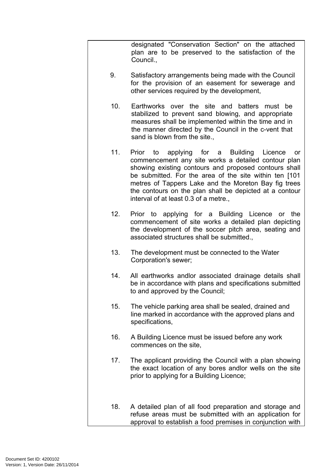designated "Conservation Section" on the attached plan are to be preserved to the satisfaction of the Council.,

- 9. Satisfactory arrangements being made with the Council for the provision of an easement for sewerage and other services required by the development,
- 10. Earthworks over the site and batters must be stabilized to prevent sand blowing, and appropriate measures shall be implemented within the time and in the manner directed by the Council in the c-vent that sand is blown from the site.,
- 11. Prior to applying for a Building Licence or commencement any site works a detailed contour plan showing existing contours and proposed contours shall be submitted. For the area of the site within ten [101 metres of Tappers Lake and the Moreton Bay fig trees the contours on the plan shall be depicted at a contour interval of at least 0.3 of a metre.,
- 12. Prior to applying for a Building Licence or the commencement of site works a detailed plan depicting the development of the soccer pitch area, seating and associated structures shall be submitted.,
- 13. The development must be connected to the Water Corporation's sewer;
- 14. All earthworks andlor associated drainage details shall be in accordance with plans and specifications submitted to and approved by the Council;
- 15. The vehicle parking area shall be sealed, drained and line marked in accordance with the approved plans and specifications,
- 16. A Building Licence must be issued before any work commences on the site,
- 17. The applicant providing the Council with a plan showing the exact location of any bores andlor wells on the site prior to applying for a Building Licence;
- 18. A detailed plan of all food preparation and storage and refuse areas must be submitted with an application for approval to establish a food premises in conjunction with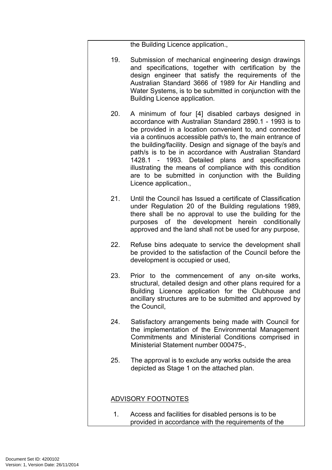the Building Licence application.,

- 19. Submission of mechanical engineering design drawings and specifications, together with certification by the design engineer that satisfy the requirements of the Australian Standard 3666 of 1989 for Air Handling and Water Systems, is to be submitted in conjunction with the Building Licence application.
- 20. A minimum of four [4] disabled carbays designed in accordance with Australian Standard 2890.1 - 1993 is to be provided in a location convenient to, and connected via a continuos accessible path/s to, the main entrance of the building/facility. Design and signage of the bay/s and path/s is to be in accordance with Australian Standard 1428.1 - 1993. Detailed plans and specifications illustrating the means of compliance with this condition are to be submitted in conjunction with the Building Licence application.,
- 21. Until the Council has Issued a certificate of Classification under Regulation 20 of the Building regulations 1989, there shall be no approval to use the building for the purposes of the development herein conditionally approved and the land shall not be used for any purpose,
- 22. Refuse bins adequate to service the development shall be provided to the satisfaction of the Council before the development is occupied or used,
- 23. Prior to the commencement of any on-site works, structural, detailed design and other plans required for a Building Licence application for the Clubhouse and ancillary structures are to be submitted and approved by the Council,
- 24. Satisfactory arrangements being made with Council for the implementation of the Environmental Management Commitments and Ministerial Conditions comprised in Ministerial Statement number 000475-,
- 25. The approval is to exclude any works outside the area depicted as Stage 1 on the attached plan.

## ADVISORY FOOTNOTES

1. Access and facilities for disabled persons is to be provided in accordance with the requirements of the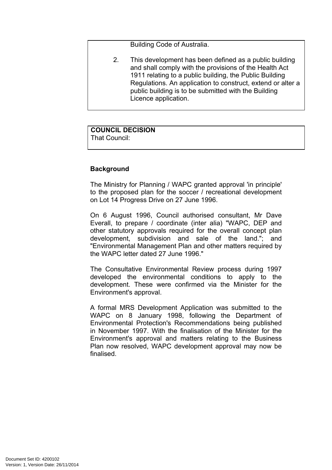Building Code of Australia.

2. This development has been defined as a public building and shall comply with the provisions of the Health Act 1911 relating to a public building, the Public Building Regulations. An application to construct, extend or alter a public building is to be submitted with the Building Licence application.

## **COUNCIL DECISION**

That Council:

## **Background**

The Ministry for Planning / WAPC granted approval 'in principle' to the proposed plan for the soccer / recreational development on Lot 14 Progress Drive on 27 June 1996.

On 6 August 1996, Council authorised consultant, Mr Dave Everall, to prepare / coordinate (inter alia) "WAPC, DEP and other statutory approvals required for the overall concept plan development, subdivision and sale of the land."; and "Environmental Management Plan and other matters required by the WAPC letter dated 27 June 1996."

The Consultative Environmental Review process during 1997 developed the environmental conditions to apply to the development. These were confirmed via the Minister for the Environment's approval.

A formal MRS Development Application was submitted to the WAPC on 8 January 1998, following the Department of Environmental Protection's Recommendations being published in November 1997. With the finalisation of the Minister for the Environment's approval and matters relating to the Business Plan now resolved, WAPC development approval may now be finalised.